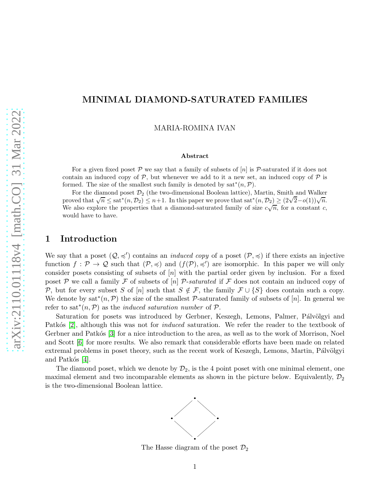## MINIMAL DIAMOND-SATURATED FAMILIES

MARIA-ROMINA IVAN

#### Abstract

For a given fixed poset  $\mathcal P$  we say that a family of subsets of [n] is  $\mathcal P$ -saturated if it does not contain an induced copy of  $P$ , but whenever we add to it a new set, an induced copy of  $P$  is formed. The size of the smallest such family is denoted by  $sat^*(n, \mathcal{P})$ .

For the diamond poset  $\mathcal{D}_2$  (the two-dimensional Boolean lattice), Martin, Smith and Walker proved that  $\sqrt{n} \leq sat^*(n, \mathcal{D}_2) \leq n+1$ . In this paper we prove that  $sat^*(n, \mathcal{D}_2) \geq (2\sqrt{2}-o(1))\sqrt{n}$ . We also explore the properties that a diamond-saturated family of size  $c\sqrt{n}$ , for a constant c, would have to have.

### 1 Introduction

We say that a poset  $(Q, \preccurlyeq')$  contains an *induced copy* of a poset  $(\mathcal{P}, \preccurlyeq)$  if there exists an injective function  $f: \mathcal{P} \to \mathcal{Q}$  such that  $(\mathcal{P}, \preccurlyeq)$  and  $(f(\mathcal{P}), \preccurlyeq')$  are isomorphic. In this paper we will only consider posets consisting of subsets of  $[n]$  with the partial order given by inclusion. For a fixed poset P we call a family F of subsets of  $[n]$  P-saturated if F does not contain an induced copy of P, but for every subset S of [n] such that  $S \notin \mathcal{F}$ , the family  $\mathcal{F} \cup \{S\}$  does contain such a copy. We denote by  $sat^*(n, \mathcal{P})$  the size of the smallest  $\mathcal{P}$ -saturated family of subsets of [n]. In general we refer to sat<sup>\*</sup>(n, P) as the *induced saturation number* of P.

Saturation for posets was introduced by Gerbner, Keszegh, Lemons, Palmer, Pálvölgyi and Patkós [\[2\]](#page-7-0), although this was not for *induced* saturation. We refer the reader to the textbook of Gerbner and Patkós [\[3\]](#page-7-1) for a nice introduction to the area, as well as to the work of Morrison, Noel and Scott [\[6\]](#page-7-2) for more results. We also remark that considerable efforts have been made on related extremal problems in poset theory, such as the recent work of Keszegh, Lemons, Martin, Pálvölgyi and Patkós  $[4]$ .

The diamond poset, which we denote by  $\mathcal{D}_2$ , is the 4 point poset with one minimal element, one maximal element and two incomparable elements as shown in the picture below. Equivalently,  $\mathcal{D}_2$ is the two-dimensional Boolean lattice.



The Hasse diagram of the poset  $\mathcal{D}_2$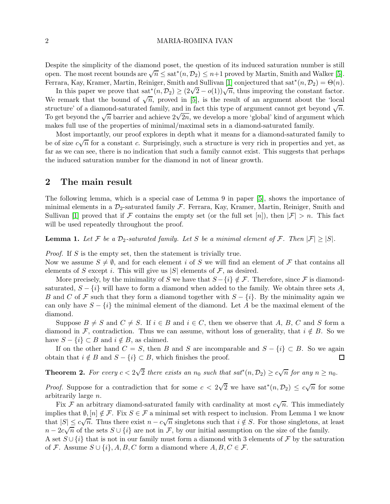Despite the simplicity of the diamond poset, the question of its induced saturation number is still open. The most recent bounds are  $\sqrt{n} \leq$  sat<sup>\*</sup> $(n, \mathcal{D}_2) \leq n+1$  proved by Martin, Smith and Walker [\[5\]](#page-7-4). Ferrara, Kay, Kramer, Martin, Reiniger, Smith and Sullivan [\[1\]](#page-7-5) conjectured that sat<sup>\*</sup> $(n, \mathcal{D}_2) = \Theta(n)$ .

In this paper we prove that  $\text{sat}^*(n, \mathcal{D}_2) \geq (2\sqrt{2} - o(1))\sqrt{n}$ , thus improving the constant factor. We remark that the bound of  $\sqrt{n}$ , proved in [\[5\]](#page-7-4), is the result of an argument about the 'local structure' of a diamond-saturated family, and in fact this type of argument cannot get beyond  $\sqrt{n}$ . To get beyond the  $\sqrt{n}$  barrier and achieve  $2\sqrt{2n}$ , we develop a more 'global' kind of argument which makes full use of the properties of minimal/maximal sets in a diamond-saturated family.

Most importantly, our proof explores in depth what it means for a diamond-saturated family to be of size  $c\sqrt{n}$  for a constant c. Surprisingly, such a structure is very rich in properties and yet, as far as we can see, there is no indication that such a family cannot exist. This suggests that perhaps the induced saturation number for the diamond in not of linear growth.

## 2 The main result

The following lemma, which is a special case of Lemma 9 in paper [\[5\]](#page-7-4), shows the importance of minimal elements in a  $\mathcal{D}_2$ -saturated family F. Ferrara, Kay, Kramer, Martin, Reiniger, Smith and Sullivan [\[1\]](#page-7-5) proved that if F contains the empty set (or the full set [n]), then  $|\mathcal{F}| > n$ . This fact will be used repeatedly throughout the proof.

**Lemma 1.** Let F be a  $\mathcal{D}_2$ -saturated family. Let S be a minimal element of F. Then  $|\mathcal{F}| \geq |S|$ .

Proof. If S is the empty set, then the statement is trivially true.

Now we assume  $S \neq \emptyset$ , and for each element i of S we will find an element of F that contains all elements of S except i. This will give us  $|S|$  elements of F, as desired.

More precisely, by the minimality of S we have that  $S - \{i\} \notin \mathcal{F}$ . Therefore, since F is diamondsaturated,  $S - \{i\}$  will have to form a diamond when added to the family. We obtain three sets A, B and C of F such that they form a diamond together with  $S - \{i\}$ . By the minimality again we can only have  $S - \{i\}$  the minimal element of the diamond. Let A be the maximal element of the diamond.

Suppose  $B \neq S$  and  $C \neq S$ . If  $i \in B$  and  $i \in C$ , then we observe that A, B, C and S form a diamond in F, contradiction. Thus we can assume, without loss of generality, that  $i \notin B$ . So we have  $S - \{i\} \subset B$  and  $i \notin B$ , as claimed.

If on the other hand  $C = S$ , then B and S are incomparable and  $S - \{i\} \subset B$ . So we again ain that  $i \notin B$  and  $S - \{i\} \subset B$ , which finishes the proof. obtain that  $i \notin B$  and  $S - \{i\} \subset B$ , which finishes the proof.

**Theorem 2.** For every  $c < 2\sqrt{2}$  there exists an  $n_0$  such that  $sat^*(n, \mathcal{D}_2) \ge c\sqrt{n}$  for any  $n \ge n_0$ .

*Proof.* Suppose for a contradiction that for some  $c < 2\sqrt{2}$  we have  $sat^*(n, \mathcal{D}_2) \leq c\sqrt{n}$  for some arbitrarily large n.

Fix  $\mathcal F$  an arbitrary diamond-saturated family with cardinality at most  $c\sqrt{n}$ . This immediately implies that  $\emptyset, [n] \notin \mathcal{F}$ . Fix  $S \in \mathcal{F}$  a minimal set with respect to inclusion. From Lemma 1 we know that  $|S| \leq c\sqrt{n}$ . Thus there exist  $n - c\sqrt{n}$  singletons such that  $i \notin S$ . For those singletons, at least  $n-2c\sqrt{n}$  of the sets  $S\cup\{i\}$  are not in  $\mathcal{F}$ , by our initial assumption on the size of the family. A set  $S \cup \{i\}$  that is not in our family must form a diamond with 3 elements of F by the saturation

of F. Assume  $S \cup \{i\}, A, B, C$  form a diamond where  $A, B, C \in \mathcal{F}$ .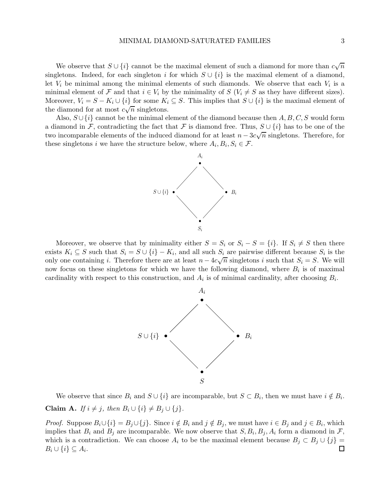We observe that  $S \cup \{i\}$  cannot be the maximal element of such a diamond for more than  $c\sqrt{n}$ singletons. Indeed, for each singleton i for which  $S \cup \{i\}$  is the maximal element of a diamond, let  $V_i$  be minimal among the minimal elements of such diamonds. We observe that each  $V_i$  is a minimal element of F and that  $i \in V_i$  by the minimality of  $S$  ( $V_i \neq S$  as they have different sizes). Moreover,  $V_i = S - K_i \cup \{i\}$  for some  $K_i \subseteq S$ . This implies that  $S \cup \{i\}$  is the maximal element of the diamond for at most  $c\sqrt{n}$  singletons.

Also,  $S \cup \{i\}$  cannot be the minimal element of the diamond because then  $A, B, C, S$  would form a diamond in F, contradicting the fact that F is diamond free. Thus,  $S \cup \{i\}$  has to be one of the two incomparable elements of the induced diamond for at least  $n - 3c\sqrt{n}$  singletons. Therefore, for these singletons *i* we have the structure below, where  $A_i, B_i, S_i \in \mathcal{F}$ .



Moreover, we observe that by minimality either  $S = S_i$  or  $S_i - S = \{i\}$ . If  $S_i \neq S$  then there exists  $K_i \subseteq S$  such that  $S_i = S \cup \{i\} - K_i$ , and all such  $S_i$  are pairwise different because  $S_i$  is the only one containing i. Therefore there are at least  $n - 4c\sqrt{n}$  singletons i such that  $S_i = S$ . We will now focus on these singletons for which we have the following diamond, where  $B_i$  is of maximal cardinality with respect to this construction, and  $A_i$  is of minimal cardinality, after choosing  $B_i$ .



We observe that since  $B_i$  and  $S \cup \{i\}$  are incomparable, but  $S \subset B_i$ , then we must have  $i \notin B_i$ . Claim A. If  $i \neq j$ , then  $B_i \cup \{i\} \neq B_j \cup \{j\}$ .

*Proof.* Suppose  $B_i \cup \{i\} = B_j \cup \{j\}$ . Since  $i \notin B_i$  and  $j \notin B_j$ , we must have  $i \in B_j$  and  $j \in B_i$ , which implies that  $B_i$  and  $B_j$  are incomparable. We now observe that  $S, B_i, B_j, A_i$  form a diamond in  $\mathcal{F},$ which is a contradiction. We can choose  $A_i$  to be the maximal element because  $B_j \subset B_j \cup \{j\} = B_i \cup \{i\} \subset A_i$ .  $B_i \cup \{i\} \subseteq A_i.$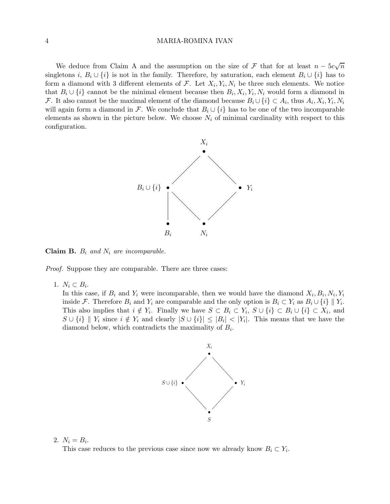We deduce from Claim A and the assumption on the size of F that for at least  $n - 5c\sqrt{n}$ singletons i,  $B_i \cup \{i\}$  is not in the family. Therefore, by saturation, each element  $B_i \cup \{i\}$  has to form a diamond with 3 different elements of  $\mathcal{F}$ . Let  $X_i, Y_i, N_i$  be three such elements. We notice that  $B_i \cup \{i\}$  cannot be the minimal element because then  $B_i, X_i, Y_i, N_i$  would form a diamond in F. It also cannot be the maximal element of the diamond because  $B_i \cup \{i\} \subset A_i$ , thus  $A_i, X_i, Y_i, N_i$ will again form a diamond in F. We conclude that  $B_i \cup \{i\}$  has to be one of the two incomparable elements as shown in the picture below. We choose  $N_i$  of minimal cardinality with respect to this configuration.



**Claim B.**  $B_i$  and  $N_i$  are incomparable.

Proof. Suppose they are comparable. There are three cases:

1.  $N_i \subset B_i$ .

In this case, if  $B_i$  and  $Y_i$  were incomparable, then we would have the diamond  $X_i, B_i, N_i, Y_i$ inside F. Therefore  $B_i$  and  $Y_i$  are comparable and the only option is  $B_i \subset Y_i$  as  $B_i \cup \{i\} \parallel Y_i$ . This also implies that  $i \notin Y_i$ . Finally we have  $S \subset B_i \subset Y_i$ ,  $S \cup \{i\} \subset B_i \cup \{i\} \subset X_i$ , and  $S \cup \{i\}$  ||  $Y_i$  since  $i \notin Y_i$  and clearly  $|S \cup \{i\}| \leq |B_i| < |Y_i|$ . This means that we have the diamond below, which contradicts the maximality of  $B_i$ .



2.  $N_i = B_i$ . This case reduces to the previous case since now we already know  $B_i \subset Y_i$ .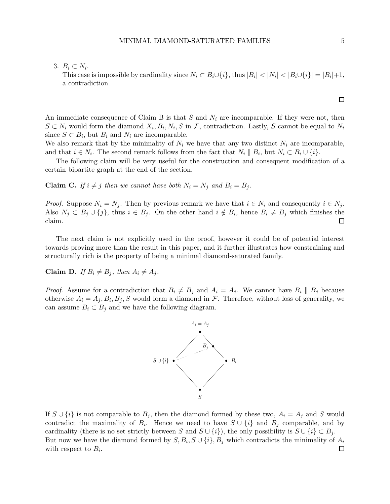This case is impossible by cardinality since  $N_i \subset B_i \cup \{i\}$ , thus  $|B_i| < |N_i| < |B_i \cup \{i\}| = |B_i| + 1$ , a contradiction.

An immediate consequence of Claim B is that S and  $N_i$  are incomparable. If they were not, then  $S \subset N_i$  would form the diamond  $X_i, B_i, N_i, S$  in  $\mathcal{F}$ , contradiction. Lastly, S cannot be equal to  $N_i$ since  $S \subset B_i$ , but  $B_i$  and  $N_i$  are incomparable.

We also remark that by the minimality of  $N_i$  we have that any two distinct  $N_i$  are incomparable, and that  $i \in N_i$ . The second remark follows from the fact that  $N_i \parallel B_i$ , but  $N_i \subset B_i \cup \{i\}$ .

The following claim will be very useful for the construction and consequent modification of a certain bipartite graph at the end of the section.

**Claim C.** If  $i \neq j$  then we cannot have both  $N_i = N_j$  and  $B_i = B_j$ .

*Proof.* Suppose  $N_i = N_j$ . Then by previous remark we have that  $i \in N_i$  and consequently  $i \in N_j$ . Also  $N_j \subset B_j \cup \{j\}$ , thus  $i \in B_j$ . On the other hand  $i \notin B_i$ , hence  $B_i \neq B_j$  which finishes the claim.  $\Box$ 

The next claim is not explicitly used in the proof, however it could be of potential interest towards proving more than the result in this paper, and it further illustrates how constraining and structurally rich is the property of being a minimal diamond-saturated family.

Claim D. If  $B_i \neq B_j$ , then  $A_i \neq A_j$ .

*Proof.* Assume for a contradiction that  $B_i \neq B_j$  and  $A_i = A_j$ . We cannot have  $B_i \parallel B_j$  because otherwise  $A_i = A_j, B_i, B_j, S$  would form a diamond in  $\mathcal{F}$ . Therefore, without loss of generality, we can assume  $B_i \subset B_j$  and we have the following diagram.



If  $S \cup \{i\}$  is not comparable to  $B_j$ , then the diamond formed by these two,  $A_i = A_j$  and S would contradict the maximality of  $B_i$ . Hence we need to have  $S \cup \{i\}$  and  $B_j$  comparable, and by cardinality (there is no set strictly between S and  $S \cup \{i\}$ ), the only possibility is  $S \cup \{i\} \subset B_i$ . But now we have the diamond formed by  $S, B_i, S \cup \{i\}, B_j$  which contradicts the minimality of  $A_i$ with respect to  $B_i$ .

 $\Box$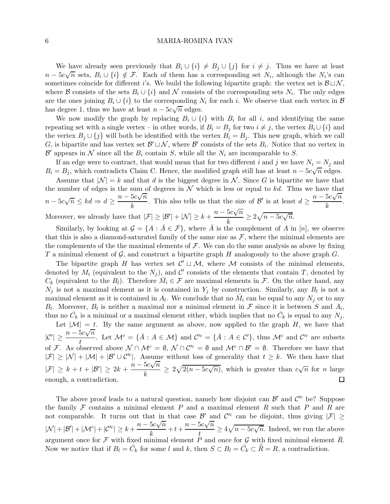We have already seen previously that  $B_i \cup \{i\} \neq B_j \cup \{j\}$  for  $i \neq j$ . Thus we have at least  $n-5c\sqrt{n}$  sets,  $B_i \cup \{i\} \notin \mathcal{F}$ . Each of them has a corresponding set  $N_i$ , although the  $N_i$ 's can sometimes coincide for different i's. We build the following bipartite graph: the vertex set is  $\mathcal{B} \sqcup \mathcal{N}$ , where B consists of the sets  $B_i \cup \{i\}$  and N consists of the corresponding sets  $N_i$ . The only edges are the ones joining  $B_i \cup \{i\}$  to the corresponding  $N_i$  for each i. We observe that each vertex in  $\mathcal{B}$ has degree 1, thus we have at least  $n - 5c\sqrt{n}$  edges.

We now modify the graph by replacing  $B_i \cup \{i\}$  with  $B_i$  for all i, and identifying the same repeating set with a single vertex – in other words, if  $B_i = B_j$  for two  $i \neq j$ , the vertex  $B_i \cup \{i\}$  and the vertex  $B_j \cup \{j\}$  will both be identified with the vertex  $B_i = B_j$ . This new graph, which we call  $G_i$  is bipartite and has vertex set  $\mathcal{B}' \sqcup \mathcal{N}$ , where  $\mathcal{B}'$  consists of the sets  $B_i$ . Notice that no vertex in  $\mathcal{B}'$  appears in  $\mathcal N$  since all the  $B_i$  contain  $S$ , while all the  $N_i$  are incomparable to  $S$ .

If an edge were to contract, that would mean that for two different i and j we have  $N_i = N_j$  and  $B_i = B_j$ , which contradicts Claim C. Hence, the modified graph still has at least  $n - 5c\sqrt{n}$  edges.

Assume that  $|\mathcal{N}| = k$  and that d is the biggest degree in N. Since G is bipartite we have that the number of edges is the sum of degrees in  $\mathcal N$  which is less or equal to kd. Thus we have that  $n - 5c\sqrt{n} \leq kd \Rightarrow d \geq \frac{n - 5c\sqrt{n}}{k}$  $\frac{5c\sqrt{n}}{k}$ . This also tells us that the size of B' is at least  $d \geq \frac{n - 5c\sqrt{n}}{k}$ .  $\frac{\sum v_i}{k}$ . Moreover, we already have that  $|\mathcal{F}| \geq |\mathcal{B}'| + |\mathcal{N}| \geq k + \frac{n - 5c\sqrt{n}}{k}$  $\frac{5c\sqrt{n}}{k} \geq 2\sqrt{n-5c\sqrt{n}}.$ 

Similarly, by looking at  $\mathcal{G} = \{A : \overline{A} \in \mathcal{F}\}\$ , where  $\overline{A}$  is the complement of A in [n], we observe that this is also a diamond-saturated family of the same size as  $\mathcal{F}$ , where the minimal elements are the complements of the the maximal elements of  $\mathcal F$ . We can do the same analysis as above by fixing T a minimal element of G, and construct a bipartite graph H analogously to the above graph  $G$ .

The bipartite graph H has vertex set  $\mathcal{C}' \sqcup \mathcal{M}$ , where M consists of the minimal elements, denoted by  $M_i$  (equivalent to the  $N_j$ ), and C' consists of the elements that contain T, denoted by  $C_k$  (equivalent to the  $B_l$ ). Therefore  $\overline{M}_i \in \mathcal{F}$  are maximal elements in  $\mathcal{F}$ . On the other hand, any  $N_j$  is not a maximal element as it is contained in  $Y_j$  by construction. Similarly, any  $B_l$  is not a maximal element as it is contained in  $A_l$ . We conclude that no  $\bar{M}_i$  can be equal to any  $N_j$  or to any  $B_l$ . Moreover,  $B_l$  is neither a maximal nor a minimal element in  $\mathcal F$  since it is between  $S$  and  $A_i$ , thus no  $\bar{C}_k$  is a minimal or a maximal element either, which implies that no  $\bar{C}_k$  is equal to any  $N_j$ .

Let  $|M| = t$ . By the same argument as above, now applied to the graph H, we have that  $|C'| \geq \frac{n - 5c\sqrt{n}}{t}$  $\frac{\partial c\sqrt{n}}{t}$ . Let  $\mathcal{M}^c = {\overline{A} : A \in \mathcal{M}}$  and  $\mathcal{C}'^c = {\overline{A} : A \in \mathcal{C}'},$  thus  $\mathcal{M}^c$  and  $\mathcal{C}'^c$  are subsets of F. As observed above  $\mathcal{N} \cap \mathcal{M}^c = \emptyset$ ,  $\mathcal{N} \cap \mathcal{C}'^c = \emptyset$  and  $\mathcal{M}^c \cap \mathcal{B}' = \emptyset$ . Therefore we have that  $|\mathcal{F}| \geq |\mathcal{N}| + |\mathcal{M}| + |\mathcal{B}' \cup \mathcal{C}'^c|$ . Assume without loss of generality that  $t \geq k$ . We then have that  $|\mathcal{F}| \geq k + t + |\mathcal{B}'| \geq 2k + \frac{n - 5c\sqrt{n}}{k}$  $\frac{\partial c\sqrt{n}}{k} \geq 2\sqrt{2(n-5c\sqrt{n})}$ , which is greater than  $c\sqrt{n}$  for *n* large enough, a contradiction.  $\Box$ 

The above proof leads to a natural question, namely how disjoint can  $\mathcal{B}'$  and  $\mathcal{C}'^c$  be? Suppose the family F contains a minimal element P and a maximal element R such that P and R are not comparable. It turns out that in that case  $\mathcal{B}'$  and  $\mathcal{C}'^c$  can be disjoint, thus giving  $|\mathcal{F}| \geq$  $|\mathcal{N}| + |\mathcal{B}'| + |\mathcal{M}^c| + |\mathcal{C}'^c| \geq k + \frac{n - 5c\sqrt{n}}{k}$  $\frac{5c\sqrt{n}}{k} + t + \frac{n - 5c\sqrt{n}}{t}$  $\frac{\partial c\sqrt{n}}{t} \geq 4\sqrt{n-5c\sqrt{n}}$ . Indeed, we run the above argument once for F with fixed minimal element P and once for G with fixed minimal element  $\bar{R}$ . Now we notice that if  $B_l = \bar{C}_k$  for some l and k, then  $S \subset B_l = \bar{C}_k \subset \bar{R} = R$ , a contradiction.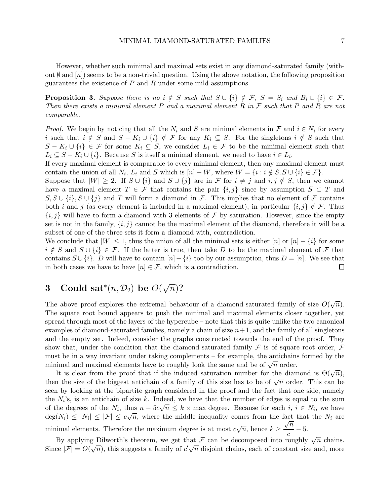However, whether such minimal and maximal sets exist in any diamond-saturated family (without  $\emptyset$  and  $[n]$ ) seems to be a non-trivial question. Using the above notation, the following proposition guarantees the existence of  $P$  and  $R$  under some mild assumptions.

**Proposition 3.** Suppose there is no  $i \notin S$  such that  $S \cup \{i\} \notin \mathcal{F}$ ,  $S = S_i$  and  $B_i \cup \{i\} \in \mathcal{F}$ . Then there exists a minimal element  $P$  and a maximal element  $R$  in  $\mathcal F$  such that  $P$  and  $R$  are not comparable.

*Proof.* We begin by noticing that all the  $N_i$  and S are minimal elements in  $\mathcal F$  and  $i \in N_i$  for every i such that  $i \notin S$  and  $S - K_i \cup \{i\} \notin \mathcal{F}$  for any  $K_i \subseteq S$ . For the singletons  $i \notin S$  such that  $S - K_i \cup \{i\} \in \mathcal{F}$  for some  $K_i \subseteq S$ , we consider  $L_i \in \mathcal{F}$  to be the minimal element such that  $L_i \subseteq S - K_i \cup \{i\}$ . Because S is itself a minimal element, we need to have  $i \in L_i$ .

If every maximal element is comparable to every minimal element, then any maximal element must contain the union of all  $N_i$ ,  $L_i$  and S which is  $[n] - W$ , where  $W = \{i : i \notin S, S \cup \{i\} \in \mathcal{F}\}.$ 

Suppose that  $|W| \geq 2$ . If  $S \cup \{i\}$  and  $S \cup \{j\}$  are in  $\mathcal F$  for  $i \neq j$  and  $i, j \notin S$ , then we cannot have a maximal element  $T \in \mathcal{F}$  that contains the pair  $\{i, j\}$  since by assumption  $S \subset T$  and  $S, S \cup \{i\}, S \cup \{j\}$  and T will form a diamond in F. This implies that no element of F contains both i and j (as every element is included in a maximal element), in particular  $\{i, j\} \notin \mathcal{F}$ . Thus  $\{i, j\}$  will have to form a diamond with 3 elements of F by saturation. However, since the empty set is not in the family,  $\{i, j\}$  cannot be the maximal element of the diamond, therefore it will be a subset of one of the three sets it form a diamond with, contradiction.

We conclude that  $|W| \leq 1$ , thus the union of all the minimal sets is either  $[n]$  or  $[n] - \{i\}$  for some  $i \notin S$  and  $S \cup \{i\} \in \mathcal{F}$ . If the latter is true, then take D to be the maximal element of F that contains  $S \cup \{i\}$ . D will have to contain  $[n] - \{i\}$  too by our assumption, thus  $D = [n]$ . We see that in both cases we have to have  $[n] \in \mathcal{F}$ , which is a contradiction. in both cases we have to have  $[n] \in \mathcal{F}$ , which is a contradiction.

# 3 Could sat<sup>\*</sup> $(n, \mathcal{D}_2)$  be  $O(\sqrt{n})$ ?

The above proof explores the extremal behaviour of a diamond-saturated family of size  $O(\sqrt{n})$ . The square root bound appears to push the minimal and maximal elements closer together, yet spread through most of the layers of the hypercube – note that this is quite unlike the two canonical examples of diamond-saturated families, namely a chain of size  $n+1$ , and the family of all singletons and the empty set. Indeed, consider the graphs constructed towards the end of the proof. They show that, under the condition that the diamond-saturated family  $\mathcal F$  is of square root order,  $\mathcal F$ must be in a way invariant under taking complements – for example, the antichains formed by the minimal and maximal elements have to roughly look the same and be of  $\sqrt{n}$  order.

It is clear from the proof that if the induced saturation number for the diamond is  $\Theta(\sqrt{n})$ , then the size of the biggest antichain of a family of this size has to be of  $\sqrt{n}$  order. This can be seen by looking at the bipartite graph considered in the proof and the fact that one side, namely the  $N_i$ 's, is an antichain of size k. Indeed, we have that the number of edges is equal to the sum of the degrees of the  $N_i$ , thus  $n - 5c\sqrt{n} \le k \times \max$  degree. Because for each  $i, i \in N_i$ , we have  $deg(N_i) \leq |N_i| \leq |\mathcal{F}| \leq c\sqrt{n}$ , where the middle inequality comes from the fact that the  $N_i$  are minimal elements. Therefore the maximum degree is at most  $c\sqrt{n}$ , hence  $k \geq$  $\frac{1}{\sqrt{n}}$  $\frac{c}{c}$  - 5.

By applying Dilworth's theorem, we get that  $\mathcal F$  can be decomposed into roughly  $\sqrt{n}$  chains. Since  $|\mathcal{F}| = O(\sqrt{n})$ , this suggests a family of  $c'\sqrt{n}$  disjoint chains, each of constant size and, more